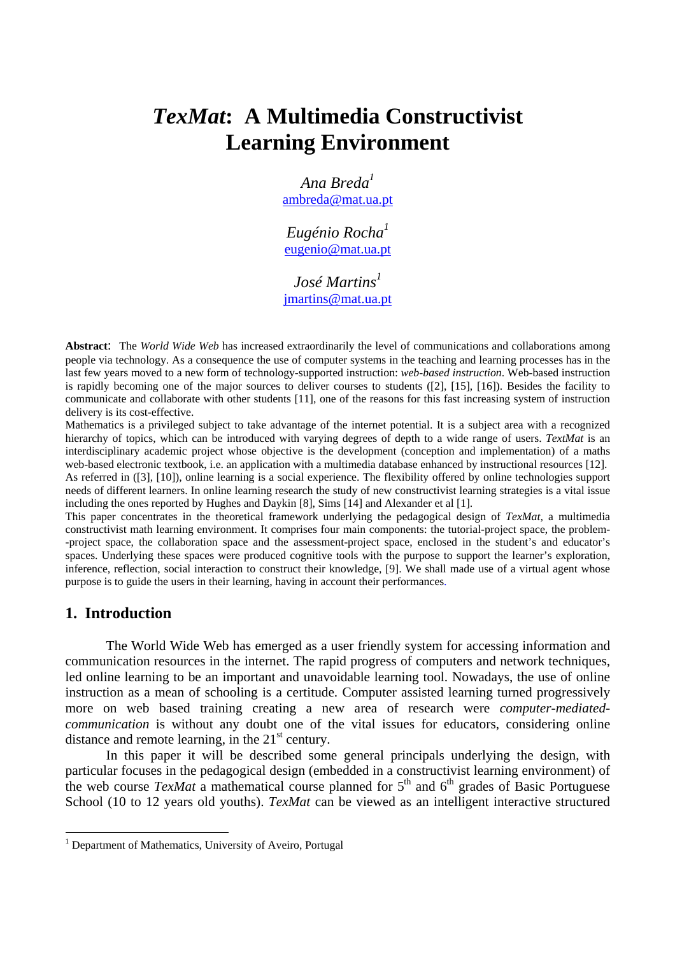# *TexMat***: A Multimedia Constructivist Learning Environment**

*Ana Breda<sup>1</sup>* ambreda@mat.ua.pt

*Eugénio Rocha<sup>1</sup>* eugenio@mat.ua.pt

*José Martins*<sup>1</sup> jmartins@mat.ua.pt

**Abstract**: The *World Wide Web* has increased extraordinarily the level of communications and collaborations among people via technology. As a consequence the use of computer systems in the teaching and learning processes has in the last few years moved to a new form of technology-supported instruction: *web-based instruction*. Web-based instruction is rapidly becoming one of the major sources to deliver courses to students ([2], [15], [16]). Besides the facility to communicate and collaborate with other students [11], one of the reasons for this fast increasing system of instruction delivery is its cost-effective.

Mathematics is a privileged subject to take advantage of the internet potential. It is a subject area with a recognized hierarchy of topics, which can be introduced with varying degrees of depth to a wide range of users. *TextMat* is an interdisciplinary academic project whose objective is the development (conception and implementation) of a maths web-based electronic textbook, i.e. an application with a multimedia database enhanced by instructional resources [12].

As referred in ([3], [10]), online learning is a social experience. The flexibility offered by online technologies support needs of different learners. In online learning research the study of new constructivist learning strategies is a vital issue including the ones reported by Hughes and Daykin [8], Sims [14] and Alexander et al [1].

This paper concentrates in the theoretical framework underlying the pedagogical design of *TexMat,* a multimedia constructivist math learning environment. It comprises four main components: the tutorial-project space, the problem- -project space, the collaboration space and the assessment-project space, enclosed in the student's and educator's spaces. Underlying these spaces were produced cognitive tools with the purpose to support the learner's exploration, inference, reflection, social interaction to construct their knowledge, [9]. We shall made use of a virtual agent whose purpose is to guide the users in their learning, having in account their performances.

#### **1. Introduction**

 $\overline{a}$ 

The World Wide Web has emerged as a user friendly system for accessing information and communication resources in the internet. The rapid progress of computers and network techniques, led online learning to be an important and unavoidable learning tool. Nowadays, the use of online instruction as a mean of schooling is a certitude. Computer assisted learning turned progressively more on web based training creating a new area of research were *computer-mediatedcommunication* is without any doubt one of the vital issues for educators, considering online distance and remote learning, in the  $21<sup>st</sup>$  century.

In this paper it will be described some general principals underlying the design, with particular focuses in the pedagogical design (embedded in a constructivist learning environment) of the web course *TexMat* a mathematical course planned for  $5<sup>th</sup>$  and  $6<sup>th</sup>$  grades of Basic Portuguese School (10 to 12 years old youths). *TexMat* can be viewed as an intelligent interactive structured

<sup>&</sup>lt;sup>1</sup> Department of Mathematics, University of Aveiro, Portugal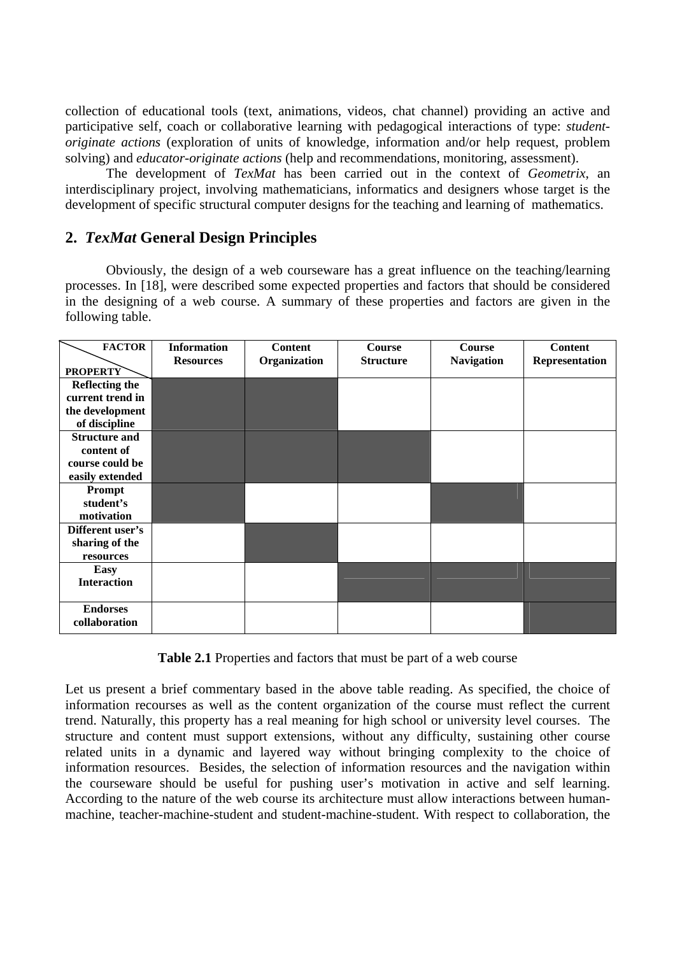collection of educational tools (text, animations, videos, chat channel) providing an active and participative self, coach or collaborative learning with pedagogical interactions of type: *studentoriginate actions* (exploration of units of knowledge, information and/or help request, problem solving) and *educator-originate actions* (help and recommendations, monitoring, assessment).

The development of *TexMat* has been carried out in the context of *Geometrix*, an interdisciplinary project, involving mathematicians, informatics and designers whose target is the development of specific structural computer designs for the teaching and learning of mathematics.

# **2.** *TexMat* **General Design Principles**

Obviously, the design of a web courseware has a great influence on the teaching/learning processes. In [18], were described some expected properties and factors that should be considered in the designing of a web course. A summary of these properties and factors are given in the following table.

| <b>FACTOR</b>         | <b>Information</b> | <b>Content</b> | <b>Course</b>    | <b>Course</b>     | <b>Content</b> |
|-----------------------|--------------------|----------------|------------------|-------------------|----------------|
|                       | <b>Resources</b>   | Organization   | <b>Structure</b> | <b>Navigation</b> | Representation |
| <b>PROPERTY</b>       |                    |                |                  |                   |                |
| <b>Reflecting the</b> |                    |                |                  |                   |                |
| current trend in      |                    |                |                  |                   |                |
| the development       |                    |                |                  |                   |                |
| of discipline         |                    |                |                  |                   |                |
| <b>Structure and</b>  |                    |                |                  |                   |                |
| content of            |                    |                |                  |                   |                |
| course could be       |                    |                |                  |                   |                |
| easily extended       |                    |                |                  |                   |                |
| Prompt                |                    |                |                  |                   |                |
| student's             |                    |                |                  |                   |                |
| motivation            |                    |                |                  |                   |                |
| Different user's      |                    |                |                  |                   |                |
| sharing of the        |                    |                |                  |                   |                |
| resources             |                    |                |                  |                   |                |
| <b>Easy</b>           |                    |                |                  |                   |                |
| <b>Interaction</b>    |                    |                |                  |                   |                |
|                       |                    |                |                  |                   |                |
| <b>Endorses</b>       |                    |                |                  |                   |                |
| collaboration         |                    |                |                  |                   |                |
|                       |                    |                |                  |                   |                |

**Table 2.1** Properties and factors that must be part of a web course

Let us present a brief commentary based in the above table reading. As specified, the choice of information recourses as well as the content organization of the course must reflect the current trend. Naturally, this property has a real meaning for high school or university level courses. The structure and content must support extensions, without any difficulty, sustaining other course related units in a dynamic and layered way without bringing complexity to the choice of information resources. Besides, the selection of information resources and the navigation within the courseware should be useful for pushing user's motivation in active and self learning. According to the nature of the web course its architecture must allow interactions between humanmachine, teacher-machine-student and student-machine-student. With respect to collaboration, the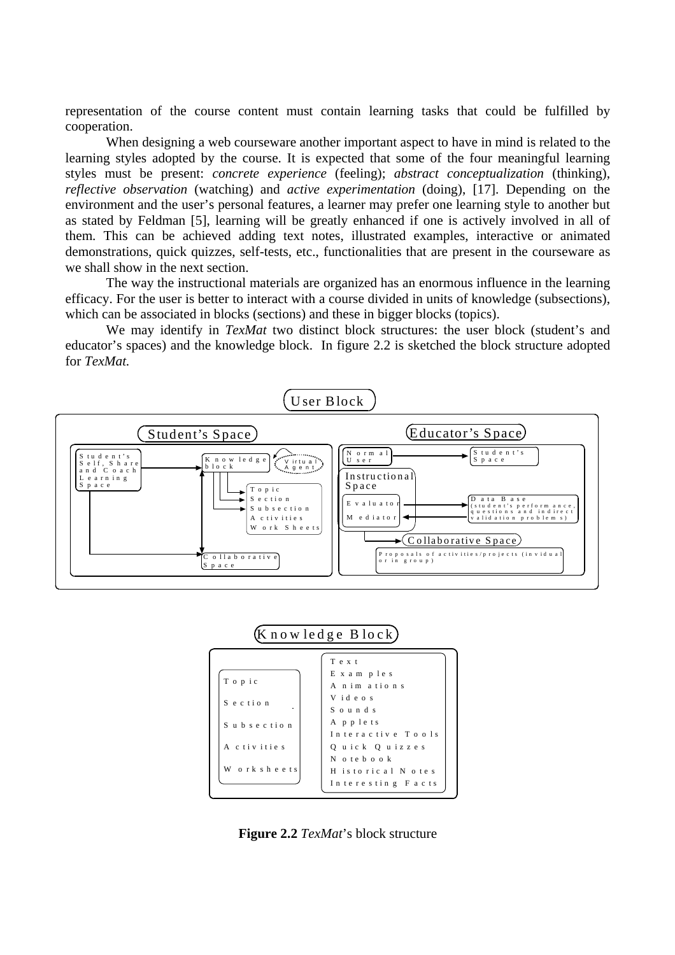representation of the course content must contain learning tasks that could be fulfilled by cooperation.

When designing a web courseware another important aspect to have in mind is related to the learning styles adopted by the course. It is expected that some of the four meaningful learning styles must be present: *concrete experience* (feeling); *abstract conceptualization* (thinking), *reflective observation* (watching) and *active experimentation* (doing), [17]. Depending on the environment and the user's personal features, a learner may prefer one learning style to another but as stated by Feldman [5], learning will be greatly enhanced if one is actively involved in all of them. This can be achieved adding text notes, illustrated examples, interactive or animated demonstrations, quick quizzes, self-tests, etc., functionalities that are present in the courseware as we shall show in the next section.

The way the instructional materials are organized has an enormous influence in the learning efficacy. For the user is better to interact with a course divided in units of knowledge (subsections), which can be associated in blocks (sections) and these in bigger blocks (topics).

We may identify in *TexMat* two distinct block structures: the user block (student's and educator's spaces) and the knowledge block. In figure 2.2 is sketched the block structure adopted for *TexMat.*





**Figure 2.2** *TexMat*'s block structure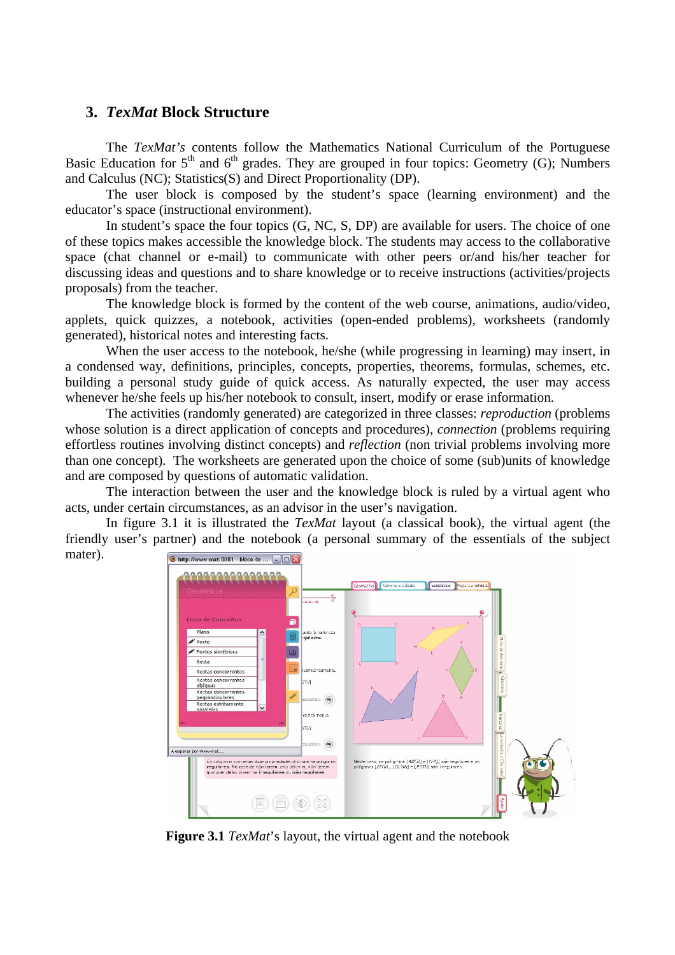## **3.** *TexMat* **Block Structure**

The *TexMat's* contents follow the Mathematics National Curriculum of the Portuguese Basic Education for  $5<sup>th</sup>$  and  $6<sup>th</sup>$  grades. They are grouped in four topics: Geometry (G); Numbers and Calculus (NC); Statistics(S) and Direct Proportionality (DP).

The user block is composed by the student's space (learning environment) and the educator's space (instructional environment).

In student's space the four topics (G, NC, S, DP) are available for users. The choice of one of these topics makes accessible the knowledge block. The students may access to the collaborative space (chat channel or e-mail) to communicate with other peers or/and his/her teacher for discussing ideas and questions and to share knowledge or to receive instructions (activities/projects proposals) from the teacher.

The knowledge block is formed by the content of the web course, animations, audio/video, applets, quick quizzes, a notebook, activities (open-ended problems), worksheets (randomly generated), historical notes and interesting facts.

When the user access to the notebook, he/she (while progressing in learning) may insert, in a condensed way, definitions, principles, concepts, properties, theorems, formulas, schemes, etc. building a personal study guide of quick access. As naturally expected, the user may access whenever he/she feels up his/her notebook to consult, insert, modify or erase information.

The activities (randomly generated) are categorized in three classes: *reproduction* (problems whose solution is a direct application of concepts and procedures), *connection* (problems requiring effortless routines involving distinct concepts) and *reflection* (non trivial problems involving more than one concept). The worksheets are generated upon the choice of some (sub)units of knowledge and are composed by questions of automatic validation.

The interaction between the user and the knowledge block is ruled by a virtual agent who acts, under certain circumstances, as an advisor in the user's navigation.

In figure 3.1 it is illustrated the *TexMat* layout (a classical book), the virtual agent (the friendly user's partner) and the notebook (a personal summary of the essentials of the subject mater). http://www-mat:8081 - bloco de ... |



**Figure 3.1** *TexMat*'s layout, the virtual agent and the notebook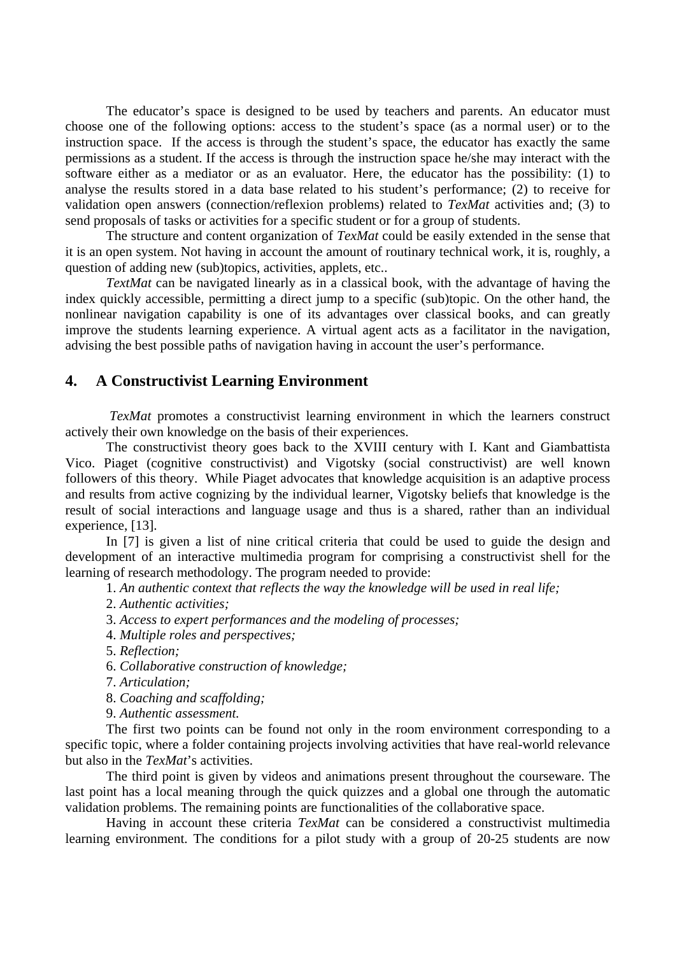The educator's space is designed to be used by teachers and parents. An educator must choose one of the following options: access to the student's space (as a normal user) or to the instruction space. If the access is through the student's space, the educator has exactly the same permissions as a student. If the access is through the instruction space he/she may interact with the software either as a mediator or as an evaluator. Here, the educator has the possibility: (1) to analyse the results stored in a data base related to his student's performance; (2) to receive for validation open answers (connection/reflexion problems) related to *TexMat* activities and; (3) to send proposals of tasks or activities for a specific student or for a group of students.

The structure and content organization of *TexMat* could be easily extended in the sense that it is an open system. Not having in account the amount of routinary technical work, it is, roughly, a question of adding new (sub)topics, activities, applets, etc...

*TextMat* can be navigated linearly as in a classical book, with the advantage of having the index quickly accessible, permitting a direct jump to a specific (sub)topic. On the other hand, the nonlinear navigation capability is one of its advantages over classical books, and can greatly improve the students learning experience. A virtual agent acts as a facilitator in the navigation, advising the best possible paths of navigation having in account the user's performance.

### **4. A Constructivist Learning Environment**

*TexMat* promotes a constructivist learning environment in which the learners construct actively their own knowledge on the basis of their experiences.

The constructivist theory goes back to the XVIII century with I. Kant and Giambattista Vico. Piaget (cognitive constructivist) and Vigotsky (social constructivist) are well known followers of this theory. While Piaget advocates that knowledge acquisition is an adaptive process and results from active cognizing by the individual learner, Vigotsky beliefs that knowledge is the result of social interactions and language usage and thus is a shared, rather than an individual experience, [13].

In [7] is given a list of nine critical criteria that could be used to guide the design and development of an interactive multimedia program for comprising a constructivist shell for the learning of research methodology. The program needed to provide:

1. *An authentic context that reflects the way the knowledge will be used in real life;* 

2. *Authentic activities;* 

3. *Access to expert performances and the modeling of processes;* 

4. *Multiple roles and perspectives;* 

5. *Reflection;* 

6. *Collaborative construction of knowledge;* 

7. *Articulation;* 

8. *Coaching and scaffolding;* 

9. *Authentic assessment.* 

The first two points can be found not only in the room environment corresponding to a specific topic, where a folder containing projects involving activities that have real-world relevance but also in the *TexMat*'s activities.

The third point is given by videos and animations present throughout the courseware. The last point has a local meaning through the quick quizzes and a global one through the automatic validation problems. The remaining points are functionalities of the collaborative space.

Having in account these criteria *TexMat* can be considered a constructivist multimedia learning environment. The conditions for a pilot study with a group of 20-25 students are now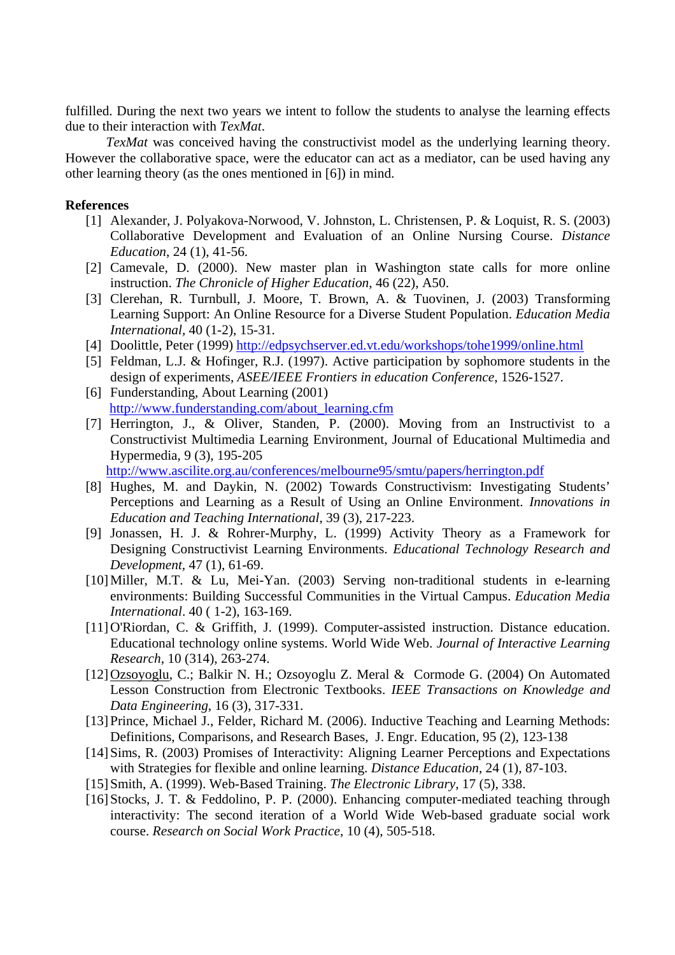fulfilled. During the next two years we intent to follow the students to analyse the learning effects due to their interaction with *TexMat*.

*TexMat* was conceived having the constructivist model as the underlying learning theory. However the collaborative space, were the educator can act as a mediator, can be used having any other learning theory (as the ones mentioned in [6]) in mind.

#### **References**

- [1] Alexander, J. Polyakova-Norwood, V. Johnston, L. Christensen, P. & Loquist, R. S. (2003) Collaborative Development and Evaluation of an Online Nursing Course. *Distance Education*, 24 (1), 41-56.
- [2] Camevale, D. (2000). New master plan in Washington state calls for more online instruction. *The Chronicle of Higher Education*, 46 (22), A50.
- [3] Clerehan, R. Turnbull, J. Moore, T. Brown, A. & Tuovinen, J. (2003) Transforming Learning Support: An Online Resource for a Diverse Student Population. *Education Media International,* 40 (1-2), 15-31.
- [4] Doolittle, Peter (1999) http://edpsychserver.ed.vt.edu/workshops/tohe1999/online.html
- [5] Feldman, L.J. & Hofinger, R.J. (1997). Active participation by sophomore students in the design of experiments, *ASEE/IEEE Frontiers in education Conference*, 1526-1527.
- [6] Funderstanding, About Learning (2001) http://www.funderstanding.com/about\_learning.cfm
- [7] Herrington, J., & Oliver, Standen, P. (2000). Moving from an Instructivist to a Constructivist Multimedia Learning Environment, Journal of Educational Multimedia and Hypermedia, 9 (3), 195-205

http://www.ascilite.org.au/conferences/melbourne95/smtu/papers/herrington.pdf

- [8] Hughes, M. and Daykin, N. (2002) Towards Constructivism: Investigating Students' Perceptions and Learning as a Result of Using an Online Environment. *Innovations in Education and Teaching International*, 39 (3), 217-223.
- [9] Jonassen, H. J. & Rohrer-Murphy, L. (1999) Activity Theory as a Framework for Designing Constructivist Learning Environments. *Educational Technology Research and Development,* 47 (1), 61-69.
- [10]Miller, M.T. & Lu, Mei-Yan. (2003) Serving non-traditional students in e-learning environments: Building Successful Communities in the Virtual Campus. *Education Media International*. 40 ( 1-2), 163-169.
- [11]O'Riordan, C. & Griffith, J. (1999). Computer-assisted instruction. Distance education. Educational technology online systems. World Wide Web. *Journal of Interactive Learning Research*, 10 (314), 263-274.
- [12]Ozsoyoglu, C.; Balkir N. H.; Ozsoyoglu Z. Meral & Cormode G. (2004) On Automated Lesson Construction from Electronic Textbooks. *IEEE Transactions on Knowledge and Data Engineering*, 16 (3), 317-331.
- [13] Prince, Michael J., Felder, Richard M. (2006). Inductive Teaching and Learning Methods: Definitions, Comparisons, and Research Bases, J. Engr. Education, 95 (2), 123-138
- [14]Sims, R. (2003) Promises of Interactivity: Aligning Learner Perceptions and Expectations with Strategies for flexible and online learning. *Distance Education*, 24 (1), 87-103.
- [15]Smith, A. (1999). Web-Based Training. *The Electronic Library*, 17 (5), 338.
- [16] Stocks, J. T. & Feddolino, P. P. (2000). Enhancing computer-mediated teaching through interactivity: The second iteration of a World Wide Web-based graduate social work course. *Research on Social Work Practice*, 10 (4), 505-518.